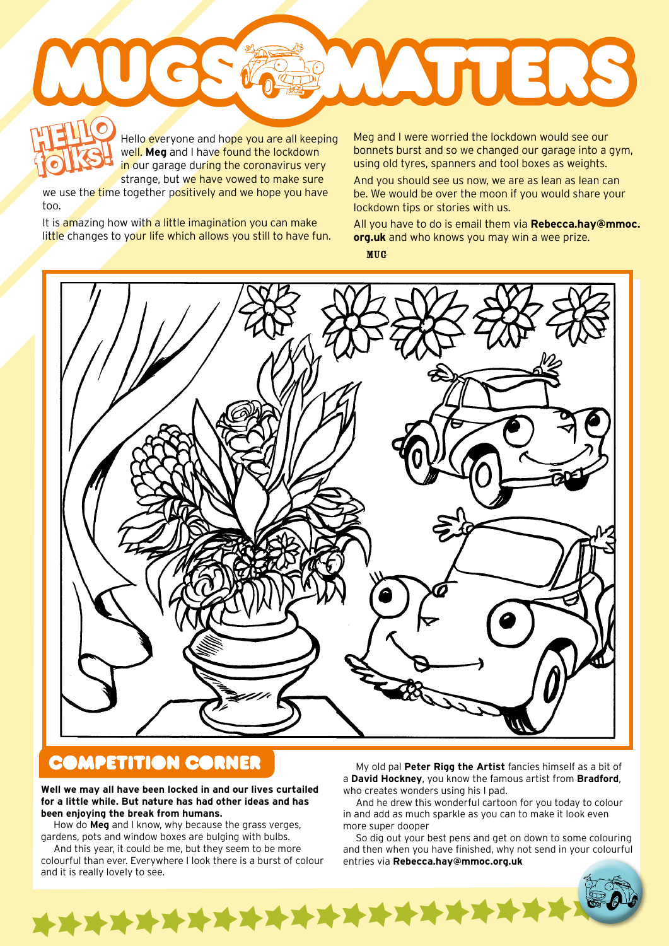**ATTERS HELLO HELLO** Hello everyone and hope you are all keeping

well. **Meg** and I have found the lockdown in our garage during the coronavirus very strange, but we have vowed to make sure **folks!**

we use the time together positively and we hope you have too.

It is amazing how with a little imagination you can make little changes to your life which allows you still to have fun.

Hello everyone and hope you are all keeping Meg and I were worried the lockdown would see our<br>
well, Meg and I have found the lockdown bonnets burst and so we changed our garage into a bonnets burst and so we changed our garage into a gym, using old tyres, spanners and tool boxes as weights.

And you should see us now, we are as lean as lean can be. We would be over the moon if you would share your lockdown tips or stories with us.

All you have to do is email them via **Rebecca.hay@mmoc. org.uk** and who knows you may win a wee prize. MUG

## **COMPETITION CORNER**

**Well we may all have been locked in and our lives curtailed for a little while. But nature has had other ideas and has been enjoying the break from humans.**

How do **Meg** and I know, why because the grass verges, gardens, pots and window boxes are bulging with bulbs.

And this year, it could be me, but they seem to be more colourful than ever. Everywhere I look there is a burst of colour and it is really lovely to see.

\*\*\*\*\*\*\*\*\*\*\*\*\*\*\*\*\*\*\*\*

My old pal **Peter Rigg the Artist** fancies himself as a bit of a **David Hockney**, you know the famous artist from **Bradford**, who creates wonders using his I pad.

And he drew this wonderful cartoon for you today to colour in and add as much sparkle as you can to make it look even more super dooper

So dig out your best pens and get on down to some colouring and then when you have finished, why not send in your colourful entries via **Rebecca.hay@mmoc.org.uk**